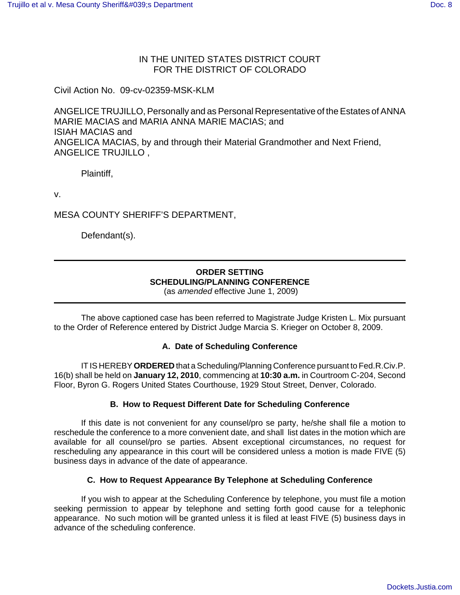## IN THE UNITED STATES DISTRICT COURT FOR THE DISTRICT OF COLORADO

Civil Action No. 09-cv-02359-MSK-KLM

ANGELICE TRUJILLO, Personally and as Personal Representative of the Estates of ANNA MARIE MACIAS and MARIA ANNA MARIE MACIAS; and ISIAH MACIAS and ANGELICA MACIAS, by and through their Material Grandmother and Next Friend, ANGELICE TRUJILLO ,

Plaintiff,

v.

MESA COUNTY SHERIFF'S DEPARTMENT,

Defendant(s).

# **ORDER SETTING SCHEDULING/PLANNING CONFERENCE**

(as *amended* effective June 1, 2009)

The above captioned case has been referred to Magistrate Judge Kristen L. Mix pursuant to the Order of Reference entered by District Judge Marcia S. Krieger on October 8, 2009.

#### **A. Date of Scheduling Conference**

IT IS HEREBY **ORDERED** that a Scheduling/Planning Conference pursuant to Fed.R.Civ.P. 16(b) shall be held on **January 12, 2010**, commencing at **10:30 a.m.** in Courtroom C-204, Second Floor, Byron G. Rogers United States Courthouse, 1929 Stout Street, Denver, Colorado.

#### **B. How to Request Different Date for Scheduling Conference**

If this date is not convenient for any counsel/pro se party, he/she shall file a motion to reschedule the conference to a more convenient date, and shall list dates in the motion which are available for all counsel/pro se parties. Absent exceptional circumstances, no request for rescheduling any appearance in this court will be considered unless a motion is made FIVE (5) business days in advance of the date of appearance.

#### **C. How to Request Appearance By Telephone at Scheduling Conference**

If you wish to appear at the Scheduling Conference by telephone, you must file a motion seeking permission to appear by telephone and setting forth good cause for a telephonic appearance. No such motion will be granted unless it is filed at least FIVE (5) business days in advance of the scheduling conference.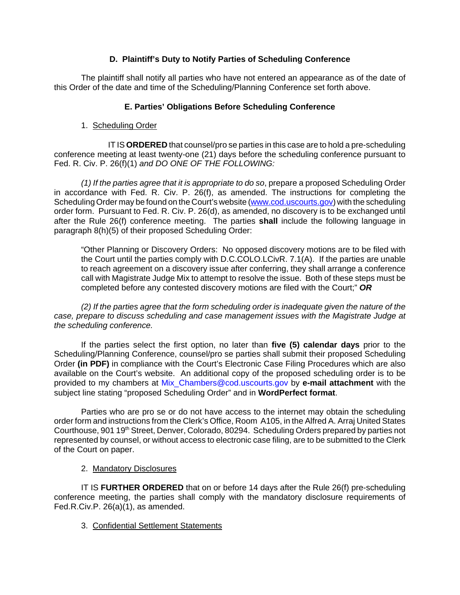## **D. Plaintiff's Duty to Notify Parties of Scheduling Conference**

The plaintiff shall notify all parties who have not entered an appearance as of the date of this Order of the date and time of the Scheduling/Planning Conference set forth above.

### **E. Parties' Obligations Before Scheduling Conference**

1. Scheduling Order

IT IS **ORDERED** that counsel/pro se parties in this case are to hold a pre-scheduling conference meeting at least twenty-one (21) days before the scheduling conference pursuant to Fed. R. Civ. P. 26(f)(1) *and DO ONE OF THE FOLLOWING:*

*(1) If the parties agree that it is appropriate to do so*, prepare a proposed Scheduling Order in accordance with Fed. R. Civ. P. 26(f), as amended. The instructions for completing the Scheduling Order may be found on the Court's website (www.cod.uscourts.gov) with the scheduling order form. Pursuant to Fed. R. Civ. P. 26(d), as amended, no discovery is to be exchanged until after the Rule 26(f) conference meeting. The parties **shall** include the following language in paragraph 8(h)(5) of their proposed Scheduling Order:

"Other Planning or Discovery Orders: No opposed discovery motions are to be filed with the Court until the parties comply with D.C.COLO.LCivR. 7.1(A). If the parties are unable to reach agreement on a discovery issue after conferring, they shall arrange a conference call with Magistrate Judge Mix to attempt to resolve the issue. Both of these steps must be completed before any contested discovery motions are filed with the Court;" *OR*

*(2) If the parties agree that the form scheduling order is inadequate given the nature of the case, prepare to discuss scheduling and case management issues with the Magistrate Judge at the scheduling conference.* 

If the parties select the first option, no later than **five (5) calendar days** prior to the Scheduling/Planning Conference, counsel/pro se parties shall submit their proposed Scheduling Order **(in PDF)** in compliance with the Court's Electronic Case Filing Procedures which are also available on the Court's website. An additional copy of the proposed scheduling order is to be provided to my chambers at Mix\_Chambers@cod.uscourts.gov by **e-mail attachment** with the subject line stating "proposed Scheduling Order" and in **WordPerfect format**.

Parties who are pro se or do not have access to the internet may obtain the scheduling order form and instructions from the Clerk's Office, Room A105, in the Alfred A. Arraj United States Courthouse, 901 19<sup>th</sup> Street, Denver, Colorado, 80294. Scheduling Orders prepared by parties not represented by counsel, or without access to electronic case filing, are to be submitted to the Clerk of the Court on paper.

2. Mandatory Disclosures

IT IS **FURTHER ORDERED** that on or before 14 days after the Rule 26(f) pre-scheduling conference meeting, the parties shall comply with the mandatory disclosure requirements of Fed.R.Civ.P. 26(a)(1), as amended.

3. Confidential Settlement Statements